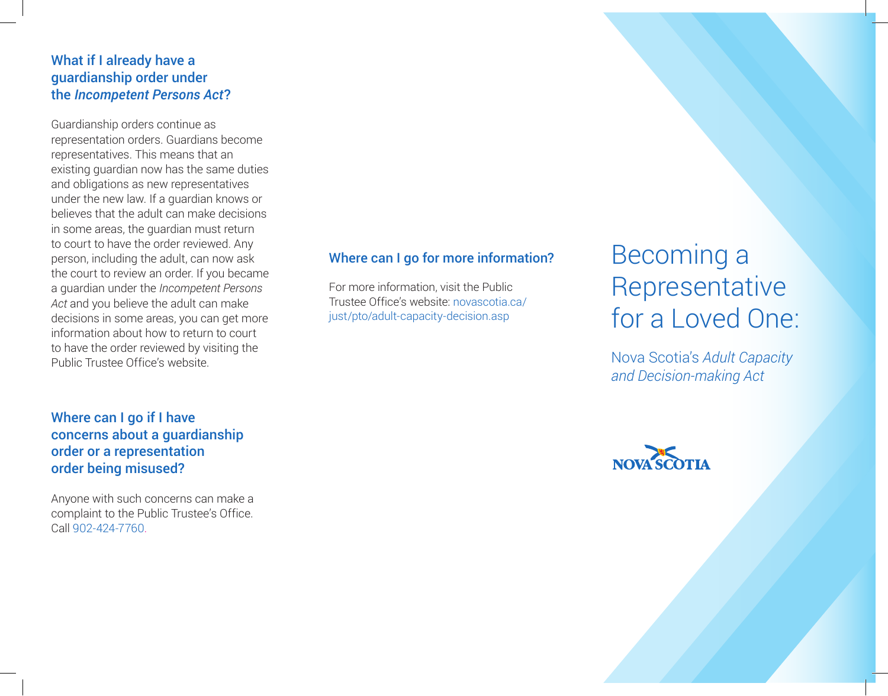### What if I already have a guardianship order under the *Incompetent Persons Act*?

Guardianship orders continue as representation orders. Guardians become representatives. This means that an existing guardian now has the same duties and obligations as new representatives under the new law. If a guardian knows or believes that the adult can make decisions in some areas, the guardian must return to court to have the order reviewed. Any person, including the adult, can now ask the court to review an order. If you became a guardian under the *Incompetent Persons*  Act and you believe the adult can make decisions in some areas, you can get more information about how to return to court to have the order reviewed by visiting the Public Trustee Office's website.

### Where can I go if I have concerns about a guardianship order or a representation order being misused?

Anyone with such concerns can make a complaint to the Public Trustee's Office. Call 902-424-7760.

#### Where can I go for more information?

For more information, visit the Public Trustee Office's website: novascotia.ca/ just/pto/adult-capacity-decision.asp

# Becoming a Representative for a Loved One:

Nova Scotia's *Adult Capacity and Decision-making Act*